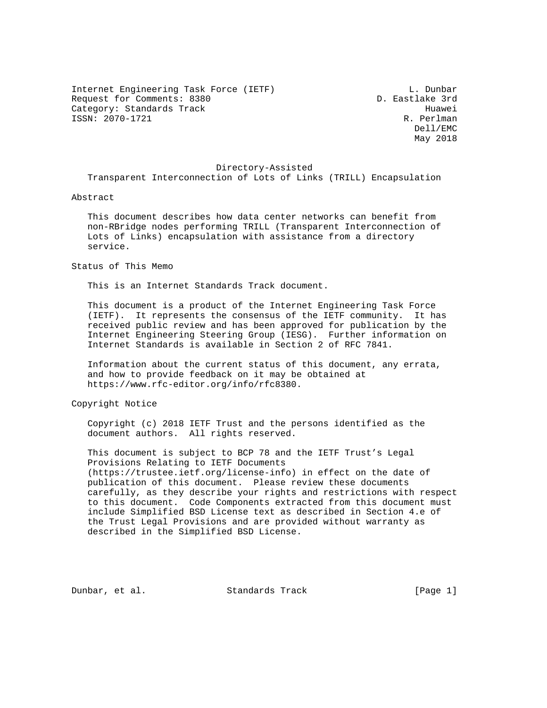Internet Engineering Task Force (IETF) and the contract of the L. Dunbar Request for Comments: 8380 D. Eastlake 3rd Category: Standards Track Huawei (1993)<br>ISSN: 2070-1721 R. Perlman  $ISSN: 2070-1721$ 

 Dell/EMC May 2018

#### Directory-Assisted

Transparent Interconnection of Lots of Links (TRILL) Encapsulation

### Abstract

 This document describes how data center networks can benefit from non-RBridge nodes performing TRILL (Transparent Interconnection of Lots of Links) encapsulation with assistance from a directory service.

Status of This Memo

This is an Internet Standards Track document.

 This document is a product of the Internet Engineering Task Force (IETF). It represents the consensus of the IETF community. It has received public review and has been approved for publication by the Internet Engineering Steering Group (IESG). Further information on Internet Standards is available in Section 2 of RFC 7841.

 Information about the current status of this document, any errata, and how to provide feedback on it may be obtained at https://www.rfc-editor.org/info/rfc8380.

Copyright Notice

 Copyright (c) 2018 IETF Trust and the persons identified as the document authors. All rights reserved.

 This document is subject to BCP 78 and the IETF Trust's Legal Provisions Relating to IETF Documents (https://trustee.ietf.org/license-info) in effect on the date of publication of this document. Please review these documents carefully, as they describe your rights and restrictions with respect to this document. Code Components extracted from this document must include Simplified BSD License text as described in Section 4.e of the Trust Legal Provisions and are provided without warranty as described in the Simplified BSD License.

Dunbar, et al. Standards Track [Page 1]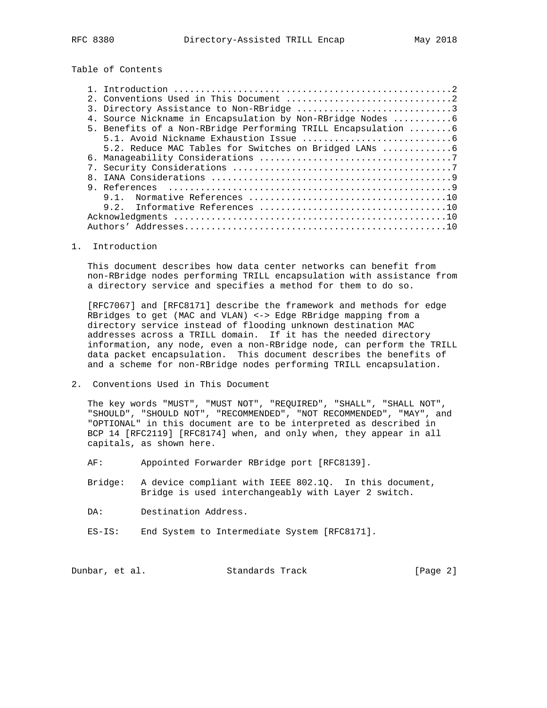# Table of Contents

|  | 3. Directory Assistance to Non-RBridge 3                       |
|--|----------------------------------------------------------------|
|  | 4. Source Nickname in Encapsulation by Non-RBridge Nodes  6    |
|  | 5. Benefits of a Non-RBridge Performing TRILL Encapsulation  6 |
|  |                                                                |
|  |                                                                |
|  |                                                                |
|  |                                                                |
|  |                                                                |
|  |                                                                |
|  |                                                                |
|  |                                                                |
|  |                                                                |
|  |                                                                |
|  |                                                                |

## 1. Introduction

 This document describes how data center networks can benefit from non-RBridge nodes performing TRILL encapsulation with assistance from a directory service and specifies a method for them to do so.

 [RFC7067] and [RFC8171] describe the framework and methods for edge RBridges to get (MAC and VLAN) <-> Edge RBridge mapping from a directory service instead of flooding unknown destination MAC addresses across a TRILL domain. If it has the needed directory information, any node, even a non-RBridge node, can perform the TRILL data packet encapsulation. This document describes the benefits of and a scheme for non-RBridge nodes performing TRILL encapsulation.

2. Conventions Used in This Document

 The key words "MUST", "MUST NOT", "REQUIRED", "SHALL", "SHALL NOT", "SHOULD", "SHOULD NOT", "RECOMMENDED", "NOT RECOMMENDED", "MAY", and "OPTIONAL" in this document are to be interpreted as described in BCP 14 [RFC2119] [RFC8174] when, and only when, they appear in all capitals, as shown here.

- AF: Appointed Forwarder RBridge port [RFC8139].
- Bridge: A device compliant with IEEE 802.1Q. In this document, Bridge is used interchangeably with Layer 2 switch.
- DA: Destination Address.
- ES-IS: End System to Intermediate System [RFC8171].

Dunbar, et al. Standards Track [Page 2]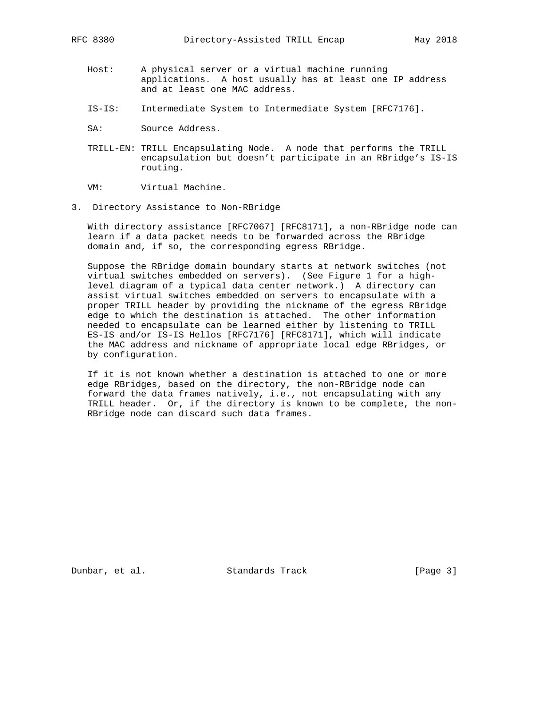- Host: A physical server or a virtual machine running applications. A host usually has at least one IP address and at least one MAC address.
- IS-IS: Intermediate System to Intermediate System [RFC7176].
- SA: Source Address.
- TRILL-EN: TRILL Encapsulating Node. A node that performs the TRILL encapsulation but doesn't participate in an RBridge's IS-IS routing.

VM: Virtual Machine.

3. Directory Assistance to Non-RBridge

 With directory assistance [RFC7067] [RFC8171], a non-RBridge node can learn if a data packet needs to be forwarded across the RBridge domain and, if so, the corresponding egress RBridge.

 Suppose the RBridge domain boundary starts at network switches (not virtual switches embedded on servers). (See Figure 1 for a high level diagram of a typical data center network.) A directory can assist virtual switches embedded on servers to encapsulate with a proper TRILL header by providing the nickname of the egress RBridge edge to which the destination is attached. The other information needed to encapsulate can be learned either by listening to TRILL ES-IS and/or IS-IS Hellos [RFC7176] [RFC8171], which will indicate the MAC address and nickname of appropriate local edge RBridges, or by configuration.

 If it is not known whether a destination is attached to one or more edge RBridges, based on the directory, the non-RBridge node can forward the data frames natively, i.e., not encapsulating with any TRILL header. Or, if the directory is known to be complete, the non- RBridge node can discard such data frames.

Dunbar, et al. Standards Track [Page 3]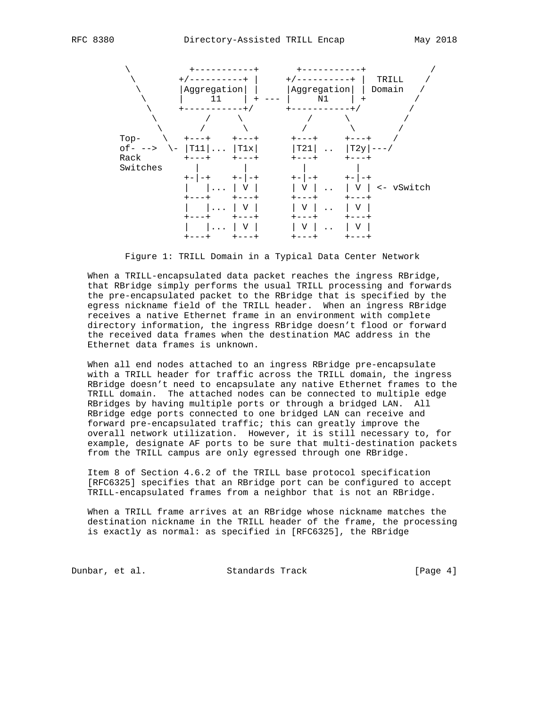

Figure 1: TRILL Domain in a Typical Data Center Network

 When a TRILL-encapsulated data packet reaches the ingress RBridge, that RBridge simply performs the usual TRILL processing and forwards the pre-encapsulated packet to the RBridge that is specified by the egress nickname field of the TRILL header. When an ingress RBridge receives a native Ethernet frame in an environment with complete directory information, the ingress RBridge doesn't flood or forward the received data frames when the destination MAC address in the Ethernet data frames is unknown.

 When all end nodes attached to an ingress RBridge pre-encapsulate with a TRILL header for traffic across the TRILL domain, the ingress RBridge doesn't need to encapsulate any native Ethernet frames to the TRILL domain. The attached nodes can be connected to multiple edge RBridges by having multiple ports or through a bridged LAN. All RBridge edge ports connected to one bridged LAN can receive and forward pre-encapsulated traffic; this can greatly improve the overall network utilization. However, it is still necessary to, for example, designate AF ports to be sure that multi-destination packets from the TRILL campus are only egressed through one RBridge.

 Item 8 of Section 4.6.2 of the TRILL base protocol specification [RFC6325] specifies that an RBridge port can be configured to accept TRILL-encapsulated frames from a neighbor that is not an RBridge.

 When a TRILL frame arrives at an RBridge whose nickname matches the destination nickname in the TRILL header of the frame, the processing is exactly as normal: as specified in [RFC6325], the RBridge

Dunbar, et al. Standards Track [Page 4]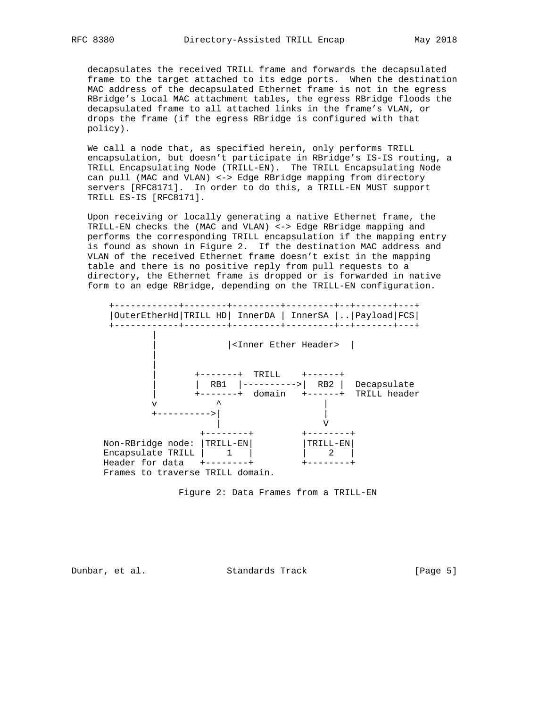decapsulates the received TRILL frame and forwards the decapsulated frame to the target attached to its edge ports. When the destination MAC address of the decapsulated Ethernet frame is not in the egress RBridge's local MAC attachment tables, the egress RBridge floods the decapsulated frame to all attached links in the frame's VLAN, or drops the frame (if the egress RBridge is configured with that policy).

 We call a node that, as specified herein, only performs TRILL encapsulation, but doesn't participate in RBridge's IS-IS routing, a TRILL Encapsulating Node (TRILL-EN). The TRILL Encapsulating Node can pull (MAC and VLAN) <-> Edge RBridge mapping from directory servers [RFC8171]. In order to do this, a TRILL-EN MUST support TRILL ES-IS [RFC8171].

 Upon receiving or locally generating a native Ethernet frame, the TRILL-EN checks the (MAC and VLAN) <-> Edge RBridge mapping and performs the corresponding TRILL encapsulation if the mapping entry is found as shown in Figure 2. If the destination MAC address and VLAN of the received Ethernet frame doesn't exist in the mapping table and there is no positive reply from pull requests to a directory, the Ethernet frame is dropped or is forwarded in native form to an edge RBridge, depending on the TRILL-EN configuration.



Figure 2: Data Frames from a TRILL-EN

Dunbar, et al. Standards Track [Page 5]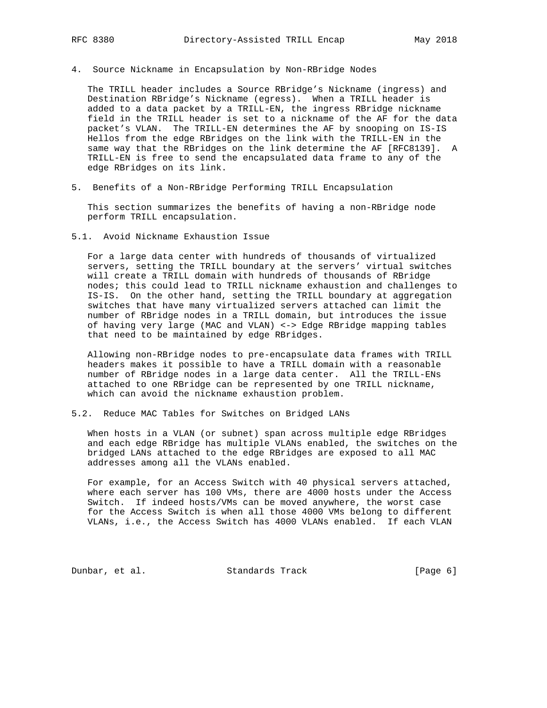4. Source Nickname in Encapsulation by Non-RBridge Nodes

 The TRILL header includes a Source RBridge's Nickname (ingress) and Destination RBridge's Nickname (egress). When a TRILL header is added to a data packet by a TRILL-EN, the ingress RBridge nickname field in the TRILL header is set to a nickname of the AF for the data packet's VLAN. The TRILL-EN determines the AF by snooping on IS-IS Hellos from the edge RBridges on the link with the TRILL-EN in the same way that the RBridges on the link determine the AF [RFC8139]. A TRILL-EN is free to send the encapsulated data frame to any of the edge RBridges on its link.

5. Benefits of a Non-RBridge Performing TRILL Encapsulation

 This section summarizes the benefits of having a non-RBridge node perform TRILL encapsulation.

5.1. Avoid Nickname Exhaustion Issue

 For a large data center with hundreds of thousands of virtualized servers, setting the TRILL boundary at the servers' virtual switches will create a TRILL domain with hundreds of thousands of RBridge nodes; this could lead to TRILL nickname exhaustion and challenges to IS-IS. On the other hand, setting the TRILL boundary at aggregation switches that have many virtualized servers attached can limit the number of RBridge nodes in a TRILL domain, but introduces the issue of having very large (MAC and VLAN) <-> Edge RBridge mapping tables that need to be maintained by edge RBridges.

 Allowing non-RBridge nodes to pre-encapsulate data frames with TRILL headers makes it possible to have a TRILL domain with a reasonable number of RBridge nodes in a large data center. All the TRILL-ENs attached to one RBridge can be represented by one TRILL nickname, which can avoid the nickname exhaustion problem.

5.2. Reduce MAC Tables for Switches on Bridged LANs

 When hosts in a VLAN (or subnet) span across multiple edge RBridges and each edge RBridge has multiple VLANs enabled, the switches on the bridged LANs attached to the edge RBridges are exposed to all MAC addresses among all the VLANs enabled.

 For example, for an Access Switch with 40 physical servers attached, where each server has 100 VMs, there are 4000 hosts under the Access Switch. If indeed hosts/VMs can be moved anywhere, the worst case for the Access Switch is when all those 4000 VMs belong to different VLANs, i.e., the Access Switch has 4000 VLANs enabled. If each VLAN

Dunbar, et al. Standards Track [Page 6]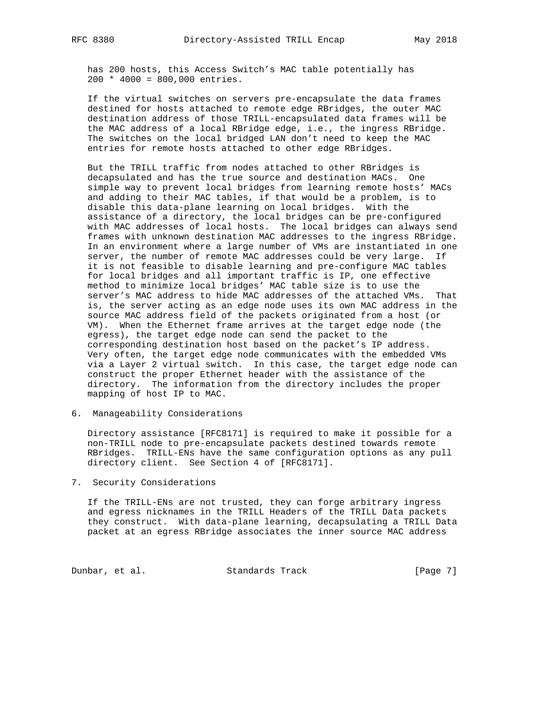has 200 hosts, this Access Switch's MAC table potentially has 200 \* 4000 = 800,000 entries.

 If the virtual switches on servers pre-encapsulate the data frames destined for hosts attached to remote edge RBridges, the outer MAC destination address of those TRILL-encapsulated data frames will be the MAC address of a local RBridge edge, i.e., the ingress RBridge. The switches on the local bridged LAN don't need to keep the MAC entries for remote hosts attached to other edge RBridges.

 But the TRILL traffic from nodes attached to other RBridges is decapsulated and has the true source and destination MACs. One simple way to prevent local bridges from learning remote hosts' MACs and adding to their MAC tables, if that would be a problem, is to disable this data-plane learning on local bridges. With the assistance of a directory, the local bridges can be pre-configured with MAC addresses of local hosts. The local bridges can always send frames with unknown destination MAC addresses to the ingress RBridge. In an environment where a large number of VMs are instantiated in one server, the number of remote MAC addresses could be very large. If it is not feasible to disable learning and pre-configure MAC tables for local bridges and all important traffic is IP, one effective method to minimize local bridges' MAC table size is to use the server's MAC address to hide MAC addresses of the attached VMs. That is, the server acting as an edge node uses its own MAC address in the source MAC address field of the packets originated from a host (or VM). When the Ethernet frame arrives at the target edge node (the egress), the target edge node can send the packet to the corresponding destination host based on the packet's IP address. Very often, the target edge node communicates with the embedded VMs via a Layer 2 virtual switch. In this case, the target edge node can construct the proper Ethernet header with the assistance of the directory. The information from the directory includes the proper mapping of host IP to MAC.

6. Manageability Considerations

 Directory assistance [RFC8171] is required to make it possible for a non-TRILL node to pre-encapsulate packets destined towards remote RBridges. TRILL-ENs have the same configuration options as any pull directory client. See Section 4 of [RFC8171].

### 7. Security Considerations

 If the TRILL-ENs are not trusted, they can forge arbitrary ingress and egress nicknames in the TRILL Headers of the TRILL Data packets they construct. With data-plane learning, decapsulating a TRILL Data packet at an egress RBridge associates the inner source MAC address

Dunbar, et al. Standards Track [Page 7]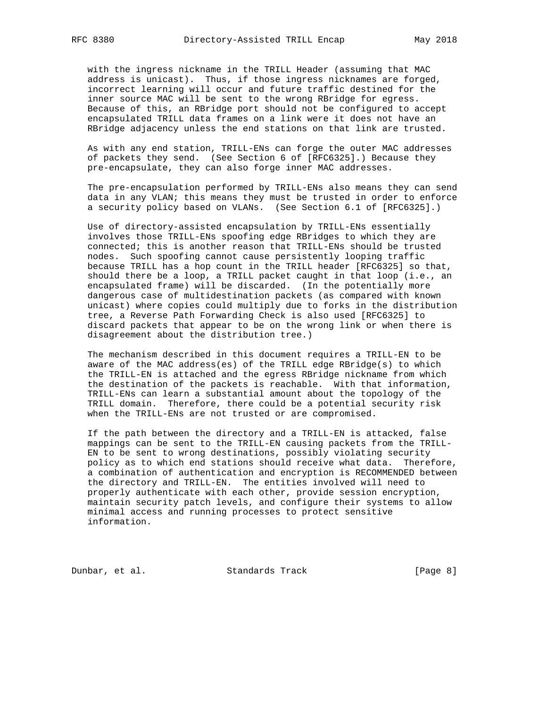with the ingress nickname in the TRILL Header (assuming that MAC address is unicast). Thus, if those ingress nicknames are forged, incorrect learning will occur and future traffic destined for the inner source MAC will be sent to the wrong RBridge for egress. Because of this, an RBridge port should not be configured to accept encapsulated TRILL data frames on a link were it does not have an RBridge adjacency unless the end stations on that link are trusted.

 As with any end station, TRILL-ENs can forge the outer MAC addresses of packets they send. (See Section 6 of [RFC6325].) Because they pre-encapsulate, they can also forge inner MAC addresses.

 The pre-encapsulation performed by TRILL-ENs also means they can send data in any VLAN; this means they must be trusted in order to enforce a security policy based on VLANs. (See Section 6.1 of [RFC6325].)

 Use of directory-assisted encapsulation by TRILL-ENs essentially involves those TRILL-ENs spoofing edge RBridges to which they are connected; this is another reason that TRILL-ENs should be trusted nodes. Such spoofing cannot cause persistently looping traffic because TRILL has a hop count in the TRILL header [RFC6325] so that, should there be a loop, a TRILL packet caught in that loop (i.e., an encapsulated frame) will be discarded. (In the potentially more dangerous case of multidestination packets (as compared with known unicast) where copies could multiply due to forks in the distribution tree, a Reverse Path Forwarding Check is also used [RFC6325] to discard packets that appear to be on the wrong link or when there is disagreement about the distribution tree.)

 The mechanism described in this document requires a TRILL-EN to be aware of the MAC address(es) of the TRILL edge RBridge(s) to which the TRILL-EN is attached and the egress RBridge nickname from which the destination of the packets is reachable. With that information, TRILL-ENs can learn a substantial amount about the topology of the TRILL domain. Therefore, there could be a potential security risk when the TRILL-ENs are not trusted or are compromised.

 If the path between the directory and a TRILL-EN is attacked, false mappings can be sent to the TRILL-EN causing packets from the TRILL- EN to be sent to wrong destinations, possibly violating security policy as to which end stations should receive what data. Therefore, a combination of authentication and encryption is RECOMMENDED between the directory and TRILL-EN. The entities involved will need to properly authenticate with each other, provide session encryption, maintain security patch levels, and configure their systems to allow minimal access and running processes to protect sensitive information.

Dunbar, et al. Standards Track [Page 8]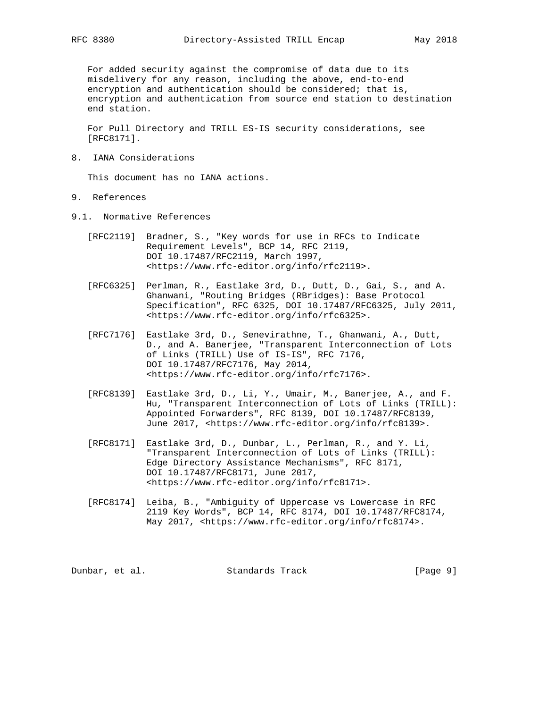For added security against the compromise of data due to its misdelivery for any reason, including the above, end-to-end encryption and authentication should be considered; that is, encryption and authentication from source end station to destination end station.

 For Pull Directory and TRILL ES-IS security considerations, see [RFC8171].

8. IANA Considerations

This document has no IANA actions.

- 9. References
- 9.1. Normative References
	- [RFC2119] Bradner, S., "Key words for use in RFCs to Indicate Requirement Levels", BCP 14, RFC 2119, DOI 10.17487/RFC2119, March 1997, <https://www.rfc-editor.org/info/rfc2119>.
	- [RFC6325] Perlman, R., Eastlake 3rd, D., Dutt, D., Gai, S., and A. Ghanwani, "Routing Bridges (RBridges): Base Protocol Specification", RFC 6325, DOI 10.17487/RFC6325, July 2011, <https://www.rfc-editor.org/info/rfc6325>.
	- [RFC7176] Eastlake 3rd, D., Senevirathne, T., Ghanwani, A., Dutt, D., and A. Banerjee, "Transparent Interconnection of Lots of Links (TRILL) Use of IS-IS", RFC 7176, DOI 10.17487/RFC7176, May 2014, <https://www.rfc-editor.org/info/rfc7176>.
	- [RFC8139] Eastlake 3rd, D., Li, Y., Umair, M., Banerjee, A., and F. Hu, "Transparent Interconnection of Lots of Links (TRILL): Appointed Forwarders", RFC 8139, DOI 10.17487/RFC8139, June 2017, <https://www.rfc-editor.org/info/rfc8139>.
	- [RFC8171] Eastlake 3rd, D., Dunbar, L., Perlman, R., and Y. Li, "Transparent Interconnection of Lots of Links (TRILL): Edge Directory Assistance Mechanisms", RFC 8171, DOI 10.17487/RFC8171, June 2017, <https://www.rfc-editor.org/info/rfc8171>.
	- [RFC8174] Leiba, B., "Ambiguity of Uppercase vs Lowercase in RFC 2119 Key Words", BCP 14, RFC 8174, DOI 10.17487/RFC8174, May 2017, <https://www.rfc-editor.org/info/rfc8174>.

Dunbar, et al. Standards Track [Page 9]